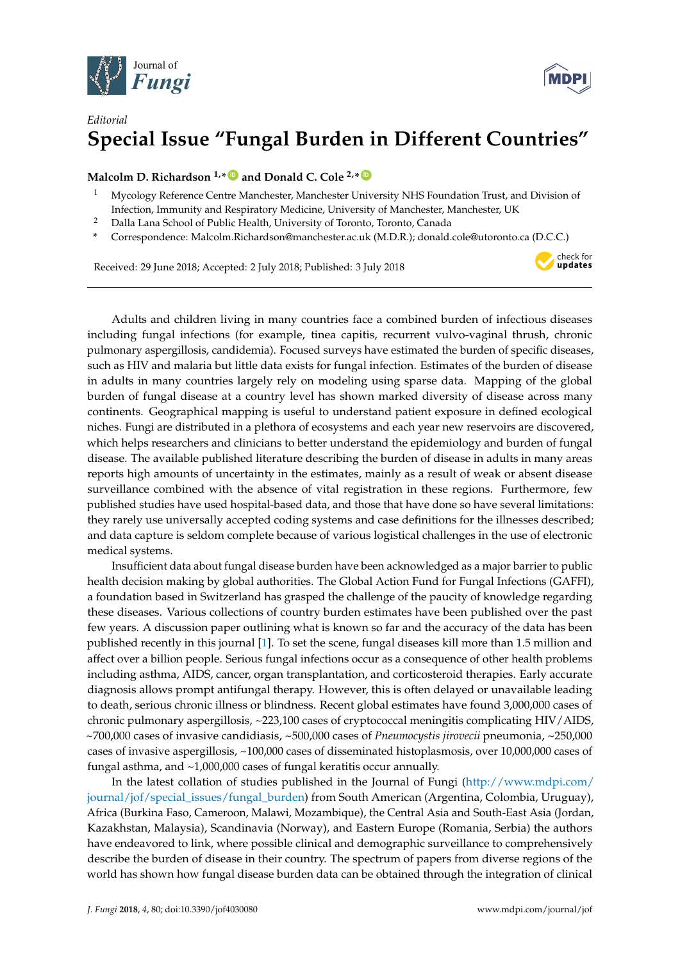



check for updates

## *Editorial* **Special Issue "Fungal Burden in Different Countries"**

## **Malcolm D. Richardson <sup>1,</sup>\* D** and Donald C. Cole <sup>2,\*</sup> **D**

- <sup>1</sup> Mycology Reference Centre Manchester, Manchester University NHS Foundation Trust, and Division of Infection, Immunity and Respiratory Medicine, University of Manchester, Manchester, UK
- <sup>2</sup> Dalla Lana School of Public Health, University of Toronto, Toronto, Canada
- **\*** Correspondence: Malcolm.Richardson@manchester.ac.uk (M.D.R.); donald.cole@utoronto.ca (D.C.C.)

Received: 29 June 2018; Accepted: 2 July 2018; Published: 3 July 2018

Adults and children living in many countries face a combined burden of infectious diseases including fungal infections (for example, tinea capitis, recurrent vulvo-vaginal thrush, chronic pulmonary aspergillosis, candidemia). Focused surveys have estimated the burden of specific diseases, such as HIV and malaria but little data exists for fungal infection. Estimates of the burden of disease in adults in many countries largely rely on modeling using sparse data. Mapping of the global burden of fungal disease at a country level has shown marked diversity of disease across many continents. Geographical mapping is useful to understand patient exposure in defined ecological niches. Fungi are distributed in a plethora of ecosystems and each year new reservoirs are discovered, which helps researchers and clinicians to better understand the epidemiology and burden of fungal disease. The available published literature describing the burden of disease in adults in many areas reports high amounts of uncertainty in the estimates, mainly as a result of weak or absent disease surveillance combined with the absence of vital registration in these regions. Furthermore, few published studies have used hospital-based data, and those that have done so have several limitations: they rarely use universally accepted coding systems and case definitions for the illnesses described; and data capture is seldom complete because of various logistical challenges in the use of electronic medical systems.

Insufficient data about fungal disease burden have been acknowledged as a major barrier to public health decision making by global authorities. The Global Action Fund for Fungal Infections (GAFFI), a foundation based in Switzerland has grasped the challenge of the paucity of knowledge regarding these diseases. Various collections of country burden estimates have been published over the past few years. A discussion paper outlining what is known so far and the accuracy of the data has been published recently in this journal [\[1\]](#page-1-0). To set the scene, fungal diseases kill more than 1.5 million and affect over a billion people. Serious fungal infections occur as a consequence of other health problems including asthma, AIDS, cancer, organ transplantation, and corticosteroid therapies. Early accurate diagnosis allows prompt antifungal therapy. However, this is often delayed or unavailable leading to death, serious chronic illness or blindness. Recent global estimates have found 3,000,000 cases of chronic pulmonary aspergillosis, ~223,100 cases of cryptococcal meningitis complicating HIV/AIDS, ~700,000 cases of invasive candidiasis, ~500,000 cases of *Pneumocystis jirovecii* pneumonia, ~250,000 cases of invasive aspergillosis, ~100,000 cases of disseminated histoplasmosis, over 10,000,000 cases of fungal asthma, and ~1,000,000 cases of fungal keratitis occur annually.

In the latest collation of studies published in the Journal of Fungi [\(http://www.mdpi.com/](http://www.mdpi.com/journal/jof/special_issues/fungal_burden) [journal/jof/special\\_issues/fungal\\_burden\)](http://www.mdpi.com/journal/jof/special_issues/fungal_burden) from South American (Argentina, Colombia, Uruguay), Africa (Burkina Faso, Cameroon, Malawi, Mozambique), the Central Asia and South-East Asia (Jordan, Kazakhstan, Malaysia), Scandinavia (Norway), and Eastern Europe (Romania, Serbia) the authors have endeavored to link, where possible clinical and demographic surveillance to comprehensively describe the burden of disease in their country. The spectrum of papers from diverse regions of the world has shown how fungal disease burden data can be obtained through the integration of clinical